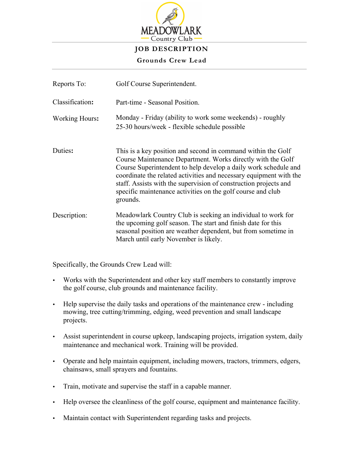

## **JOB DESCRIPTION Grounds Crew Lead**

| Reports To:           | Golf Course Superintendent.                                                                                                                                                                                                                                                                                                                                                                                         |
|-----------------------|---------------------------------------------------------------------------------------------------------------------------------------------------------------------------------------------------------------------------------------------------------------------------------------------------------------------------------------------------------------------------------------------------------------------|
| Classification:       | Part-time - Seasonal Position.                                                                                                                                                                                                                                                                                                                                                                                      |
| <b>Working Hours:</b> | Monday - Friday (ability to work some weekends) - roughly<br>25-30 hours/week - flexible schedule possible                                                                                                                                                                                                                                                                                                          |
| Duties:               | This is a key position and second in command within the Golf<br>Course Maintenance Department. Works directly with the Golf<br>Course Superintendent to help develop a daily work schedule and<br>coordinate the related activities and necessary equipment with the<br>staff. Assists with the supervision of construction projects and<br>specific maintenance activities on the golf course and club<br>grounds. |
| Description:          | Meadowlark Country Club is seeking an individual to work for<br>the upcoming golf season. The start and finish date for this<br>seasonal position are weather dependent, but from sometime in<br>March until early November is likely.                                                                                                                                                                              |

Specifically, the Grounds Crew Lead will:

- Works with the Superintendent and other key staff members to constantly improve the golf course, club grounds and maintenance facility.
- Help supervise the daily tasks and operations of the maintenance crew including mowing, tree cutting/trimming, edging, weed prevention and small landscape projects.
- Assist superintendent in course upkeep, landscaping projects, irrigation system, daily maintenance and mechanical work. Training will be provided.
- Operate and help maintain equipment, including mowers, tractors, trimmers, edgers, chainsaws, small sprayers and fountains.
- Train, motivate and supervise the staff in a capable manner.
- Help oversee the cleanliness of the golf course, equipment and maintenance facility.
- Maintain contact with Superintendent regarding tasks and projects.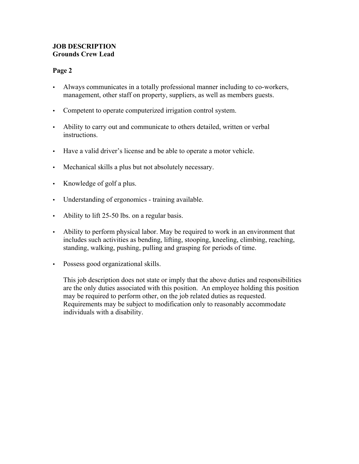## **JOB DESCRIPTION Grounds Crew Lead**

## **Page 2**

- Always communicates in a totally professional manner including to co-workers, management, other staff on property, suppliers, as well as members guests.
- Competent to operate computerized irrigation control system.
- Ability to carry out and communicate to others detailed, written or verbal instructions.
- Have a valid driver's license and be able to operate a motor vehicle.
- Mechanical skills a plus but not absolutely necessary.
- Knowledge of golf a plus.
- Understanding of ergonomics training available.
- Ability to lift 25-50 lbs. on a regular basis.
- Ability to perform physical labor. May be required to work in an environment that includes such activities as bending, lifting, stooping, kneeling, climbing, reaching, standing, walking, pushing, pulling and grasping for periods of time.
- Possess good organizational skills.

This job description does not state or imply that the above duties and responsibilities are the only duties associated with this position. An employee holding this position may be required to perform other, on the job related duties as requested. Requirements may be subject to modification only to reasonably accommodate individuals with a disability.